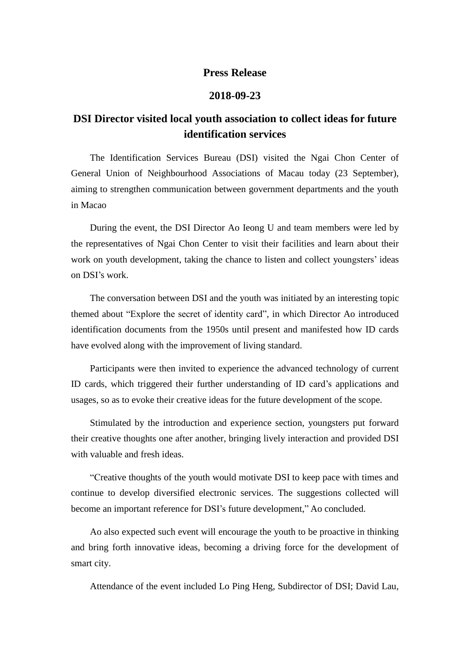## **Press Release**

## **2018-09-23**

## **DSI Director visited local youth association to collect ideas for future identification services**

The Identification Services Bureau (DSI) visited the Ngai Chon Center of General Union of Neighbourhood Associations of Macau today (23 September), aiming to strengthen communication between government departments and the youth in Macao

During the event, the DSI Director Ao Ieong U and team members were led by the representatives of Ngai Chon Center to visit their facilities and learn about their work on youth development, taking the chance to listen and collect youngsters' ideas on DSI's work.

The conversation between DSI and the youth was initiated by an interesting topic themed about "Explore the secret of identity card", in which Director Ao introduced identification documents from the 1950s until present and manifested how ID cards have evolved along with the improvement of living standard.

Participants were then invited to experience the advanced technology of current ID cards, which triggered their further understanding of ID card's applications and usages, so as to evoke their creative ideas for the future development of the scope.

Stimulated by the introduction and experience section, youngsters put forward their creative thoughts one after another, bringing lively interaction and provided DSI with valuable and fresh ideas.

"Creative thoughts of the youth would motivate DSI to keep pace with times and continue to develop diversified electronic services. The suggestions collected will become an important reference for DSI's future development," Ao concluded.

Ao also expected such event will encourage the youth to be proactive in thinking and bring forth innovative ideas, becoming a driving force for the development of smart city.

Attendance of the event included Lo Ping Heng, Subdirector of DSI; David Lau,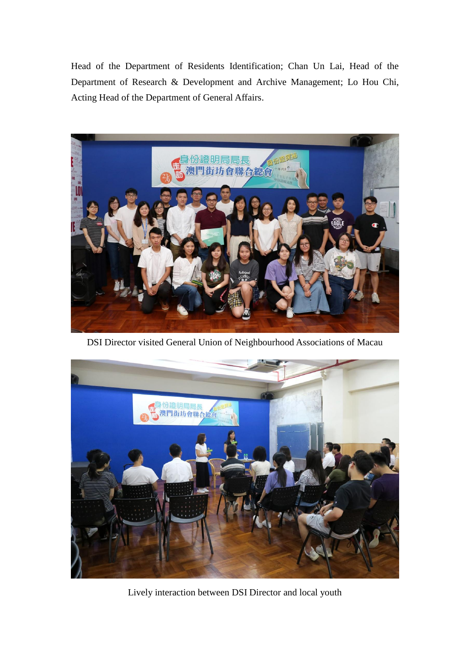Head of the Department of Residents Identification; Chan Un Lai, Head of the Department of Research & Development and Archive Management; Lo Hou Chi, Acting Head of the Department of General Affairs.



DSI Director visited General Union of Neighbourhood Associations of Macau



Lively interaction between DSI Director and local youth